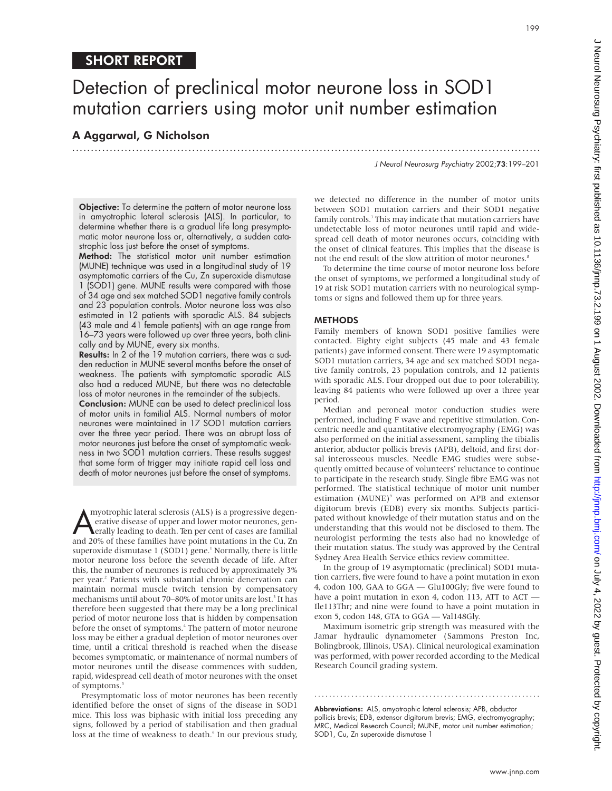# SHORT REPORT

# Detection of preclinical motor neurone loss in SOD1 mutation carriers using motor unit number estimation

.............................................................................................................................

## A Aggarwal, G Nicholson

J Neurol Neurosurg Psychiatry 2002;73:199–201

199

Objective: To determine the pattern of motor neurone loss in amyotrophic lateral sclerosis (ALS). In particular, to determine whether there is a gradual life long presymptomatic motor neurone loss or, alternatively, a sudden catastrophic loss just before the onset of symptoms.

Method: The statistical motor unit number estimation (MUNE) technique was used in a longitudinal study of 19 asymptomatic carriers of the Cu, Zn superoxide dismutase 1 (SOD1) gene. MUNE results were compared with those of 34 age and sex matched SOD1 negative family controls and 23 population controls. Motor neurone loss was also estimated in 12 patients with sporadic ALS. 84 subjects (43 male and 41 female patients) with an age range from 16–73 years were followed up over three years, both clinically and by MUNE, every six months.

Results: In 2 of the 19 mutation carriers, there was a sudden reduction in MUNE several months before the onset of weakness. The patients with symptomatic sporadic ALS also had a reduced MUNE, but there was no detectable loss of motor neurones in the remainder of the subjects.

Conclusion: MUNE can be used to detect preclinical loss of motor units in familial ALS. Normal numbers of motor neurones were maintained in 17 SOD1 mutation carriers over the three year period. There was an abrupt loss of motor neurones just before the onset of symptomatic weakness in two SOD1 mutation carriers. These results suggest that some form of trigger may initiate rapid cell loss and death of motor neurones just before the onset of symptoms.

myotrophic lateral sclerosis (ALS) is a progressive degenerative disease of upper and lower motor neurones, generally leading to death. Ten per cent of cases are familial and 20% of these families have point mutations in t myotrophic lateral sclerosis (ALS) is a progressive degenerative disease of upper and lower motor neurones, generally leading to death. Ten per cent of cases are familial superoxide dismutase 1 (SOD1) gene.<sup>1</sup> Normally, there is little motor neurone loss before the seventh decade of life. After this, the number of neurones is reduced by approximately 3% per year.<sup>2</sup> Patients with substantial chronic denervation can maintain normal muscle twitch tension by compensatory mechanisms until about 70–80% of motor units are lost.<sup>3</sup> It has therefore been suggested that there may be a long preclinical period of motor neurone loss that is hidden by compensation before the onset of symptoms.<sup>4</sup> The pattern of motor neurone loss may be either a gradual depletion of motor neurones over time, until a critical threshold is reached when the disease becomes symptomatic, or maintenance of normal numbers of motor neurones until the disease commences with sudden, rapid, widespread cell death of motor neurones with the onset of symptoms.<sup>5</sup>

Presymptomatic loss of motor neurones has been recently identified before the onset of signs of the disease in SOD1 mice. This loss was biphasic with initial loss preceding any signs, followed by a period of stabilisation and then gradual loss at the time of weakness to death.<sup>6</sup> In our previous study,

we detected no difference in the number of motor units between SOD1 mutation carriers and their SOD1 negative family controls.<sup>7</sup> This may indicate that mutation carriers have undetectable loss of motor neurones until rapid and widespread cell death of motor neurones occurs, coinciding with the onset of clinical features. This implies that the disease is not the end result of the slow attrition of motor neurones.<sup>8</sup>

To determine the time course of motor neurone loss before the onset of symptoms, we performed a longitudinal study of 19 at risk SOD1 mutation carriers with no neurological symptoms or signs and followed them up for three years.

## **METHODS**

Family members of known SOD1 positive families were contacted. Eighty eight subjects (45 male and 43 female patients) gave informed consent. There were 19 asymptomatic SOD1 mutation carriers, 34 age and sex matched SOD1 negative family controls, 23 population controls, and 12 patients with sporadic ALS. Four dropped out due to poor tolerability, leaving 84 patients who were followed up over a three year period.

Median and peroneal motor conduction studies were performed, including F wave and repetitive stimulation. Concentric needle and quantitative electromyography (EMG) was also performed on the initial assessment, sampling the tibialis anterior, abductor pollicis brevis (APB), deltoid, and first dorsal interosseous muscles. Needle EMG studies were subsequently omitted because of volunteers' reluctance to continue to participate in the research study. Single fibre EMG was not performed. The statistical technique of motor unit number estimation (MUNE)<sup>9</sup> was performed on APB and extensor digitorum brevis (EDB) every six months. Subjects participated without knowledge of their mutation status and on the understanding that this would not be disclosed to them. The neurologist performing the tests also had no knowledge of their mutation status. The study was approved by the Central Sydney Area Health Service ethics review committee.

In the group of 19 asymptomatic (preclinical) SOD1 mutation carriers, five were found to have a point mutation in exon 4, codon 100, GAA to GGA — Glu100Gly; five were found to have a point mutation in exon 4, codon 113, ATT to ACT — Ile113Thr; and nine were found to have a point mutation in exon 5, codon 148, GTA to GGA — Val148Gly.

Maximum isometric grip strength was measured with the Jamar hydraulic dynamometer (Sammons Preston Inc, Bolingbrook, Illinois, USA). Clinical neurological examination was performed, with power recorded according to the Medical Research Council grading system.

Abbreviations: ALS, amyotrophic lateral sclerosis; APB, abductor pollicis brevis; EDB, extensor digitorum brevis; EMG, electromyography; MRC, Medical Research Council; MUNE, motor unit number estimation; SOD1, Cu, Zn superoxide dismutase 1

.............................................................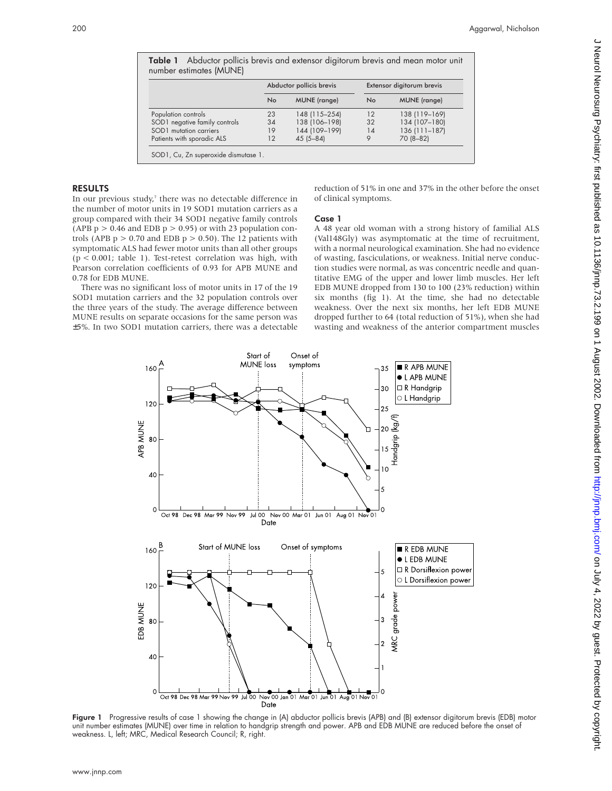|                               | Abductor pollicis brevis |                     | Extensor digitorum brevis |                     |
|-------------------------------|--------------------------|---------------------|---------------------------|---------------------|
|                               | <b>No</b>                | <b>MUNE</b> (range) | No                        | <b>MUNE</b> (range) |
| Population controls           | 23                       | 148 (115-254)       | 12                        | 138 (119-169)       |
| SOD1 negative family controls | 34                       | 138 (106-198)       | 32                        | 134 (107-180)       |
| SOD1 mutation carriers        | 19                       | 144 (109-199)       | 14                        | $136(111 - 187)$    |
| Patients with sporadic ALS    | 12                       | $45(5 - 84)$        | 9                         | 70 (8-82)           |

Table 1 Abductor pollicis brevis and extensor digitorum brevis and mean motor unit

## RESULTS

In our previous study,<sup>7</sup> there was no detectable difference in the number of motor units in 19 SOD1 mutation carriers as a group compared with their 34 SOD1 negative family controls (APB  $p > 0.46$  and EDB  $p > 0.95$ ) or with 23 population controls (APB  $p > 0.70$  and EDB  $p > 0.50$ ). The 12 patients with symptomatic ALS had fewer motor units than all other groups (p < 0.001; table 1). Test-retest correlation was high, with Pearson correlation coefficients of 0.93 for APB MUNE and 0.78 for EDB MUNE.

There was no significant loss of motor units in 17 of the 19 SOD1 mutation carriers and the 32 population controls over the three years of the study. The average difference between MUNE results on separate occasions for the same person was ±5%. In two SOD1 mutation carriers, there was a detectable reduction of 51% in one and 37% in the other before the onset of clinical symptoms.

## Case 1

A 48 year old woman with a strong history of familial ALS (Val148Gly) was asymptomatic at the time of recruitment, with a normal neurological examination. She had no evidence of wasting, fasciculations, or weakness. Initial nerve conduction studies were normal, as was concentric needle and quantitative EMG of the upper and lower limb muscles. Her left EDB MUNE dropped from 130 to 100 (23% reduction) within six months (fig 1). At the time, she had no detectable weakness. Over the next six months, her left EDB MUNE dropped further to 64 (total reduction of 51%), when she had wasting and weakness of the anterior compartment muscles



Figure 1 Progressive results of case 1 showing the change in (A) abductor pollicis brevis (APB) and (B) extensor digitorum brevis (EDB) motor unit number estimates (MUNE) over time in relation to handgrip strength and power. APB and EDB MUNE are reduced before the onset of weakness. L, left; MRC, Medical Research Council; R, right.